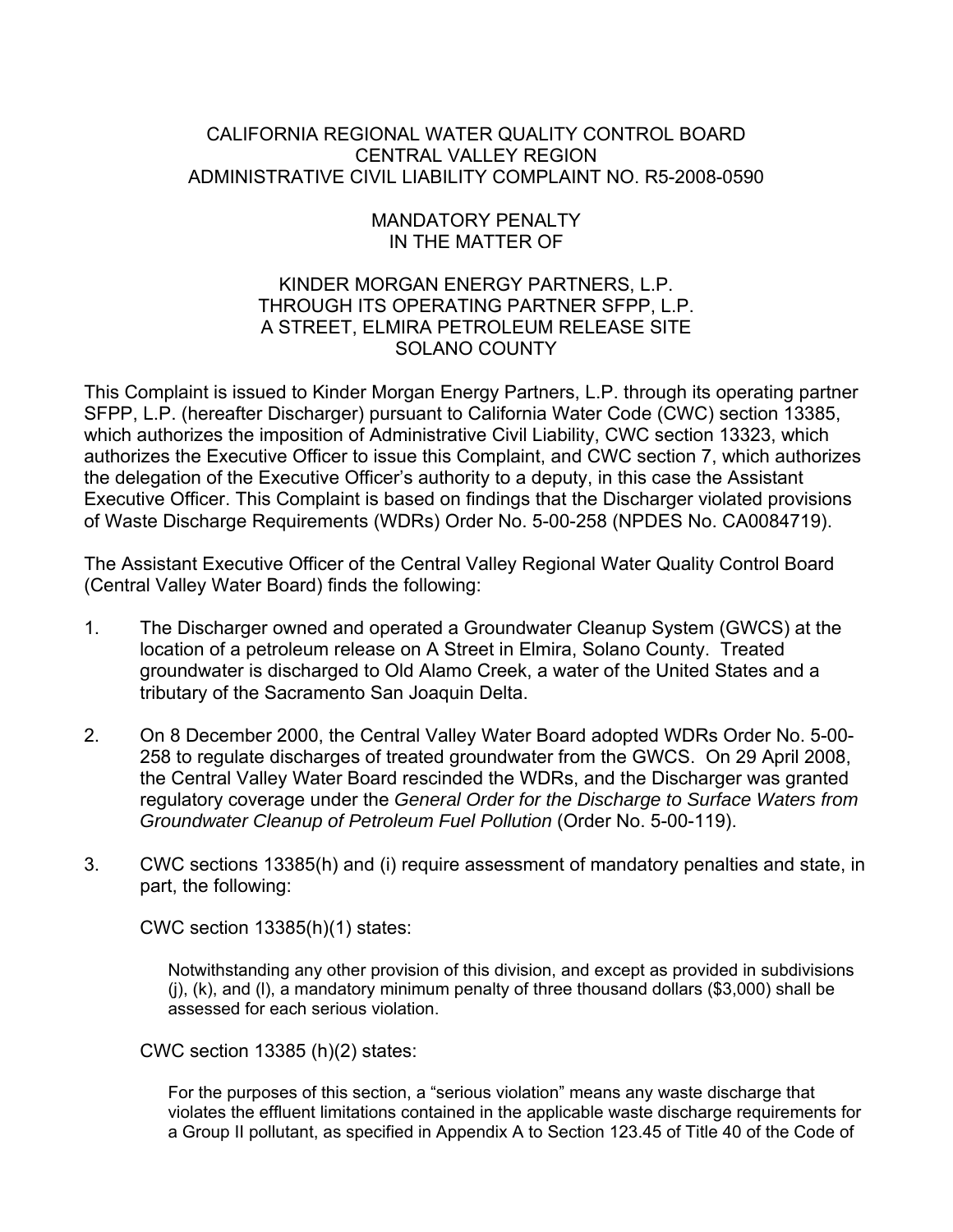# CALIFORNIA REGIONAL WATER QUALITY CONTROL BOARD CENTRAL VALLEY REGION ADMINISTRATIVE CIVIL LIABILITY COMPLAINT NO. R5-2008-0590

# MANDATORY PENALTY IN THE MATTER OF

# KINDER MORGAN ENERGY PARTNERS, L.P. THROUGH ITS OPERATING PARTNER SFPP, L.P. A STREET, ELMIRA PETROLEUM RELEASE SITE SOLANO COUNTY

This Complaint is issued to Kinder Morgan Energy Partners, L.P. through its operating partner SFPP, L.P. (hereafter Discharger) pursuant to California Water Code (CWC) section 13385, which authorizes the imposition of Administrative Civil Liability, CWC section 13323, which authorizes the Executive Officer to issue this Complaint, and CWC section 7, which authorizes the delegation of the Executive Officer's authority to a deputy, in this case the Assistant Executive Officer. This Complaint is based on findings that the Discharger violated provisions of Waste Discharge Requirements (WDRs) Order No. 5-00-258 (NPDES No. CA0084719).

The Assistant Executive Officer of the Central Valley Regional Water Quality Control Board (Central Valley Water Board) finds the following:

- 1. The Discharger owned and operated a Groundwater Cleanup System (GWCS) at the location of a petroleum release on A Street in Elmira, Solano County. Treated groundwater is discharged to Old Alamo Creek, a water of the United States and a tributary of the Sacramento San Joaquin Delta.
- 2. On 8 December 2000, the Central Valley Water Board adopted WDRs Order No. 5-00- 258 to regulate discharges of treated groundwater from the GWCS. On 29 April 2008, the Central Valley Water Board rescinded the WDRs, and the Discharger was granted regulatory coverage under the *General Order for the Discharge to Surface Waters from Groundwater Cleanup of Petroleum Fuel Pollution* (Order No. 5-00-119).
- 3. CWC sections 13385(h) and (i) require assessment of mandatory penalties and state, in part, the following:

CWC section 13385(h)(1) states:

Notwithstanding any other provision of this division, and except as provided in subdivisions (j), (k), and (l), a mandatory minimum penalty of three thousand dollars (\$3,000) shall be assessed for each serious violation.

CWC section 13385 (h)(2) states:

For the purposes of this section, a "serious violation" means any waste discharge that violates the effluent limitations contained in the applicable waste discharge requirements for a Group II pollutant, as specified in Appendix A to Section 123.45 of Title 40 of the Code of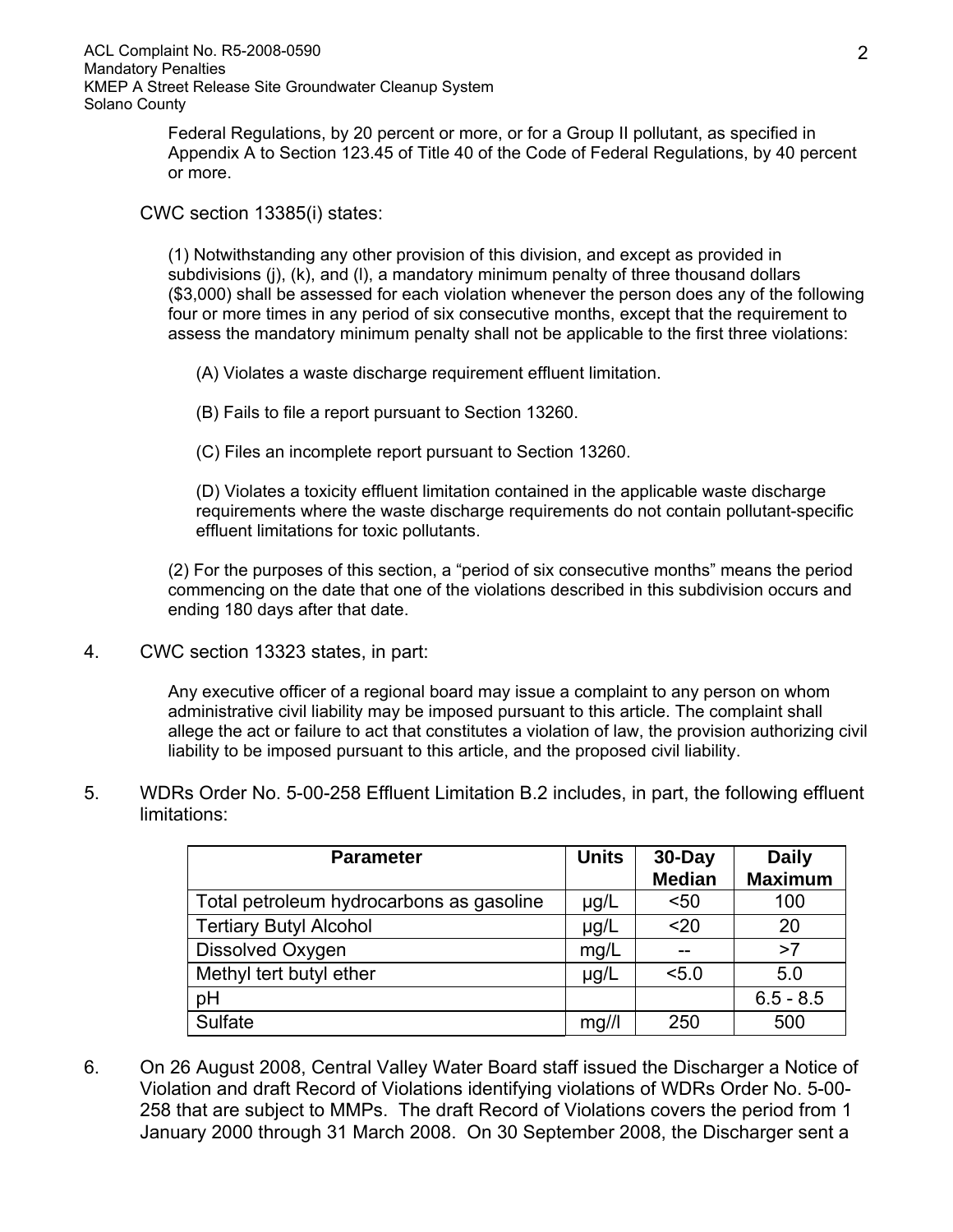Federal Regulations, by 20 percent or more, or for a Group II pollutant, as specified in Appendix A to Section 123.45 of Title 40 of the Code of Federal Regulations, by 40 percent or more.

CWC section 13385(i) states:

(1) Notwithstanding any other provision of this division, and except as provided in subdivisions (j), (k), and (l), a mandatory minimum penalty of three thousand dollars (\$3,000) shall be assessed for each violation whenever the person does any of the following four or more times in any period of six consecutive months, except that the requirement to assess the mandatory minimum penalty shall not be applicable to the first three violations:

- (A) Violates a waste discharge requirement effluent limitation.
- (B) Fails to file a report pursuant to Section 13260.
- (C) Files an incomplete report pursuant to Section 13260.

(D) Violates a toxicity effluent limitation contained in the applicable waste discharge requirements where the waste discharge requirements do not contain pollutant-specific effluent limitations for toxic pollutants.

(2) For the purposes of this section, a "period of six consecutive months" means the period commencing on the date that one of the violations described in this subdivision occurs and ending 180 days after that date.

4. CWC section 13323 states, in part:

Any executive officer of a regional board may issue a complaint to any person on whom administrative civil liability may be imposed pursuant to this article. The complaint shall allege the act or failure to act that constitutes a violation of law, the provision authorizing civil liability to be imposed pursuant to this article, and the proposed civil liability.

5. WDRs Order No. 5-00-258 Effluent Limitation B.2 includes, in part, the following effluent limitations:

| <b>Parameter</b>                         | <b>Units</b> | $30$ -Day<br><b>Median</b> | <b>Daily</b><br><b>Maximum</b> |
|------------------------------------------|--------------|----------------------------|--------------------------------|
| Total petroleum hydrocarbons as gasoline | $\mu$ g/L    | $50$                       | 100                            |
| <b>Tertiary Butyl Alcohol</b>            | $\mu$ g/L    | $20$                       | 20                             |
| Dissolved Oxygen                         | mg/L         |                            | >7                             |
| Methyl tert butyl ether                  | $\mu$ g/L    | 5.0                        | 5.0                            |
| pH                                       |              |                            | $6.5 - 8.5$                    |
| Sulfate                                  | mq/1         | 250                        | 500                            |

6. On 26 August 2008, Central Valley Water Board staff issued the Discharger a Notice of Violation and draft Record of Violations identifying violations of WDRs Order No. 5-00- 258 that are subject to MMPs. The draft Record of Violations covers the period from 1 January 2000 through 31 March 2008. On 30 September 2008, the Discharger sent a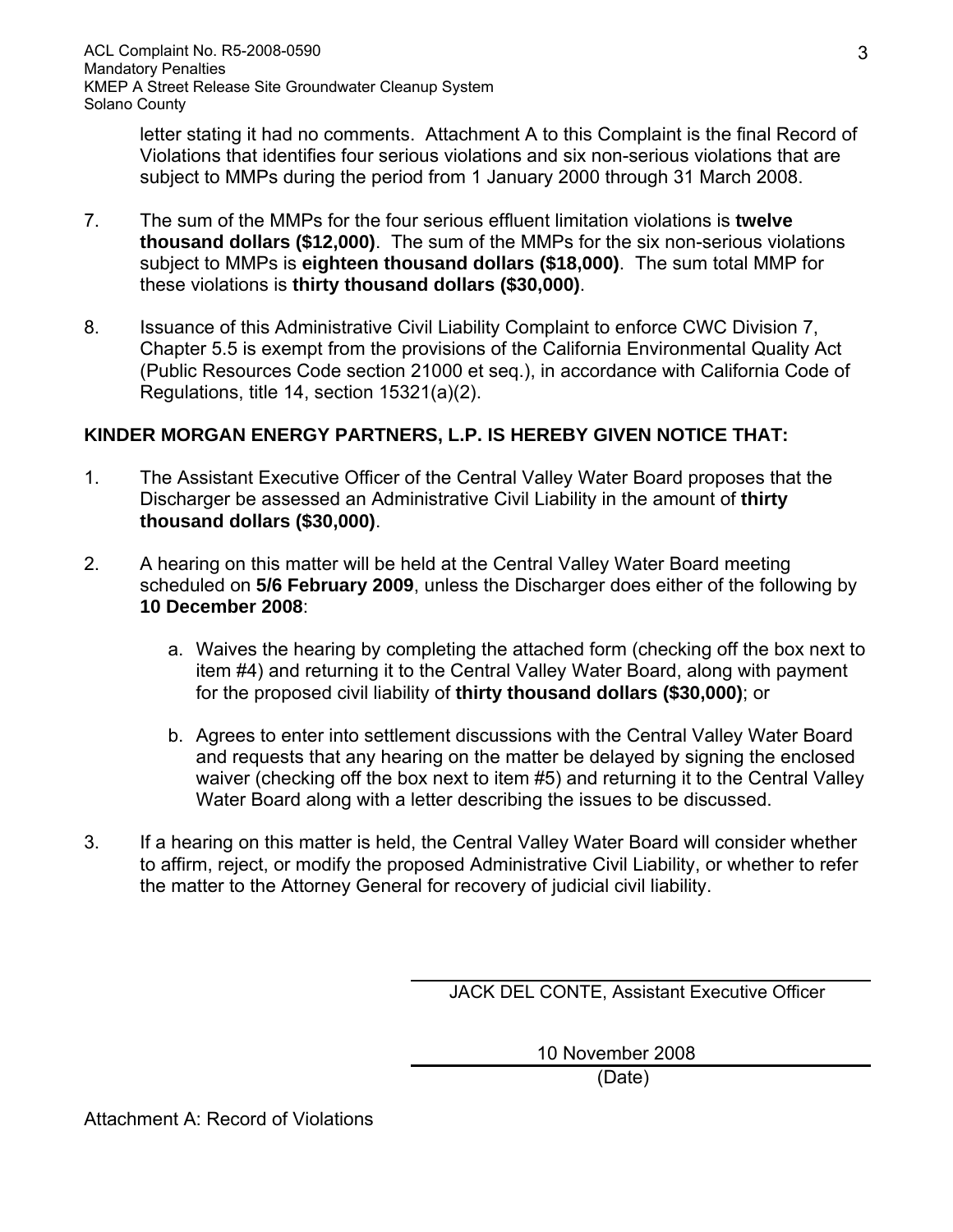letter stating it had no comments. Attachment A to this Complaint is the final Record of Violations that identifies four serious violations and six non-serious violations that are subject to MMPs during the period from 1 January 2000 through 31 March 2008.

- 7. The sum of the MMPs for the four serious effluent limitation violations is **twelve thousand dollars (\$12,000)**. The sum of the MMPs for the six non-serious violations subject to MMPs is **eighteen thousand dollars (\$18,000)**. The sum total MMP for these violations is **thirty thousand dollars (\$30,000)**.
- 8. Issuance of this Administrative Civil Liability Complaint to enforce CWC Division 7, Chapter 5.5 is exempt from the provisions of the California Environmental Quality Act (Public Resources Code section 21000 et seq.), in accordance with California Code of Regulations, title 14, section 15321(a)(2).

# **KINDER MORGAN ENERGY PARTNERS, L.P. IS HEREBY GIVEN NOTICE THAT:**

- 1. The Assistant Executive Officer of the Central Valley Water Board proposes that the Discharger be assessed an Administrative Civil Liability in the amount of **thirty thousand dollars (\$30,000)**.
- 2. A hearing on this matter will be held at the Central Valley Water Board meeting scheduled on **5/6 February 2009**, unless the Discharger does either of the following by **10 December 2008**:
	- a. Waives the hearing by completing the attached form (checking off the box next to item #4) and returning it to the Central Valley Water Board, along with payment for the proposed civil liability of **thirty thousand dollars (\$30,000)**; or
	- b. Agrees to enter into settlement discussions with the Central Valley Water Board and requests that any hearing on the matter be delayed by signing the enclosed waiver (checking off the box next to item #5) and returning it to the Central Valley Water Board along with a letter describing the issues to be discussed.
- 3. If a hearing on this matter is held, the Central Valley Water Board will consider whether to affirm, reject, or modify the proposed Administrative Civil Liability, or whether to refer the matter to the Attorney General for recovery of judicial civil liability.

JACK DEL CONTE, Assistant Executive Officer

10 November 2008

(Date)

Attachment A: Record of Violations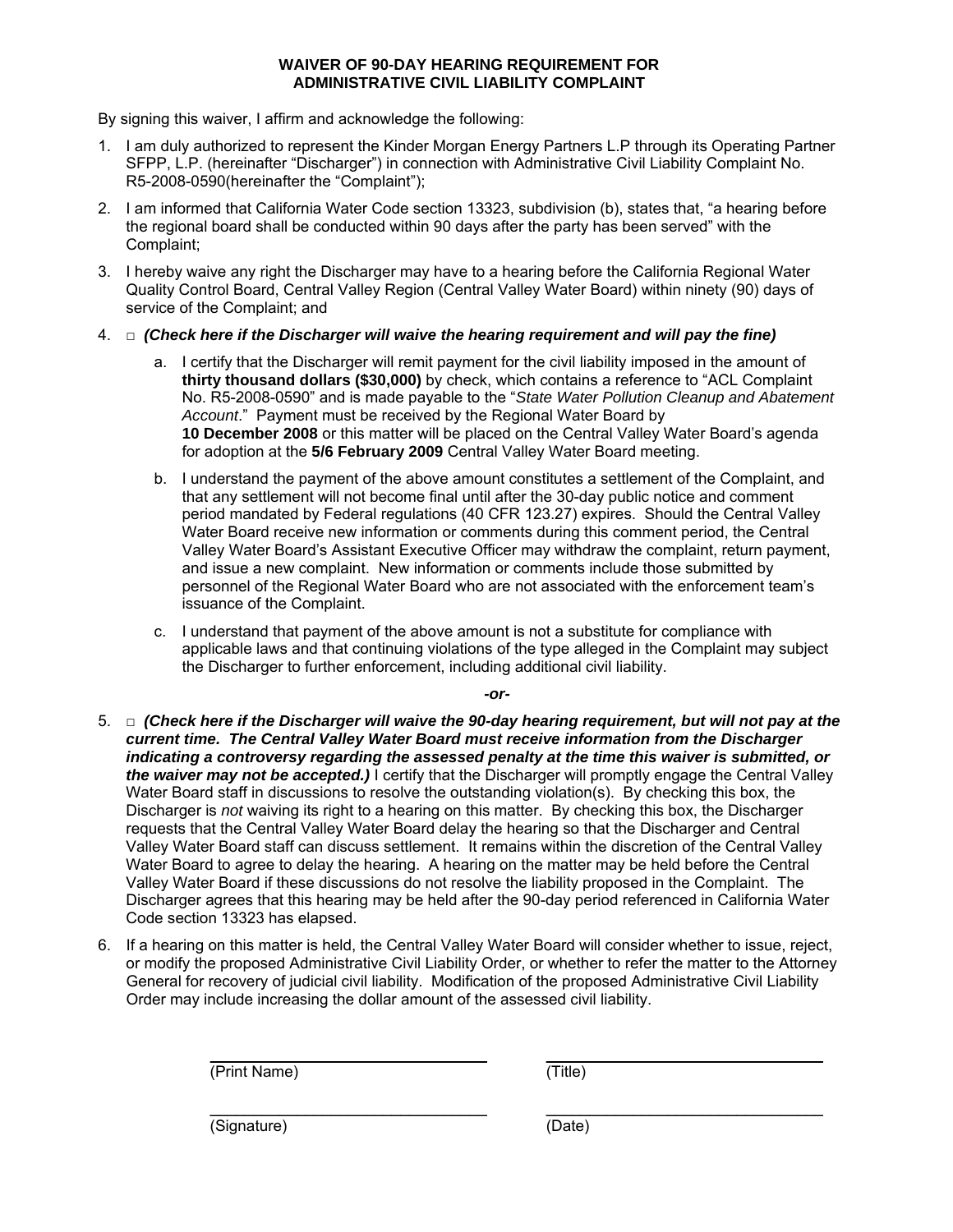#### **WAIVER OF 90-DAY HEARING REQUIREMENT FOR ADMINISTRATIVE CIVIL LIABILITY COMPLAINT**

By signing this waiver, I affirm and acknowledge the following:

- 1. I am duly authorized to represent the Kinder Morgan Energy Partners L.P through its Operating Partner SFPP, L.P. (hereinafter "Discharger") in connection with Administrative Civil Liability Complaint No. R5-2008-0590(hereinafter the "Complaint");
- 2. I am informed that California Water Code section 13323, subdivision (b), states that, "a hearing before the regional board shall be conducted within 90 days after the party has been served" with the Complaint;
- 3. I hereby waive any right the Discharger may have to a hearing before the California Regional Water Quality Control Board, Central Valley Region (Central Valley Water Board) within ninety (90) days of service of the Complaint; and
- 4. □ *(Check here if the Discharger will waive the hearing requirement and will pay the fine)* 
	- a. I certify that the Discharger will remit payment for the civil liability imposed in the amount of **thirty thousand dollars (\$30,000)** by check, which contains a reference to "ACL Complaint No. R5-2008-0590" and is made payable to the "*State Water Pollution Cleanup and Abatement Account*." Payment must be received by the Regional Water Board by **10 December 2008** or this matter will be placed on the Central Valley Water Board's agenda for adoption at the **5/6 February 2009** Central Valley Water Board meeting.
	- b. I understand the payment of the above amount constitutes a settlement of the Complaint, and that any settlement will not become final until after the 30-day public notice and comment period mandated by Federal regulations (40 CFR 123.27) expires. Should the Central Valley Water Board receive new information or comments during this comment period, the Central Valley Water Board's Assistant Executive Officer may withdraw the complaint, return payment, and issue a new complaint. New information or comments include those submitted by personnel of the Regional Water Board who are not associated with the enforcement team's issuance of the Complaint.
	- c. I understand that payment of the above amount is not a substitute for compliance with applicable laws and that continuing violations of the type alleged in the Complaint may subject the Discharger to further enforcement, including additional civil liability.

*-or-*

- 5. □ *(Check here if the Discharger will waive the 90-day hearing requirement, but will not pay at the current time. The Central Valley Water Board must receive information from the Discharger indicating a controversy regarding the assessed penalty at the time this waiver is submitted, or the waiver may not be accepted.)* I certify that the Discharger will promptly engage the Central Valley Water Board staff in discussions to resolve the outstanding violation(s). By checking this box, the Discharger is *not* waiving its right to a hearing on this matter. By checking this box, the Discharger requests that the Central Valley Water Board delay the hearing so that the Discharger and Central Valley Water Board staff can discuss settlement. It remains within the discretion of the Central Valley Water Board to agree to delay the hearing. A hearing on the matter may be held before the Central Valley Water Board if these discussions do not resolve the liability proposed in the Complaint. The Discharger agrees that this hearing may be held after the 90-day period referenced in California Water Code section 13323 has elapsed.
- 6. If a hearing on this matter is held, the Central Valley Water Board will consider whether to issue, reject, or modify the proposed Administrative Civil Liability Order, or whether to refer the matter to the Attorney General for recovery of judicial civil liability. Modification of the proposed Administrative Civil Liability Order may include increasing the dollar amount of the assessed civil liability.

\_\_\_\_\_\_\_\_\_\_\_\_\_\_\_\_\_\_\_\_\_\_\_\_\_\_\_\_\_\_\_\_ \_\_\_\_\_\_\_\_\_\_\_\_\_\_\_\_\_\_\_\_\_\_\_\_\_\_\_\_\_\_\_\_ (Print Name) (Title)

(Signature) (Date)

\_\_\_\_\_\_\_\_\_\_\_\_\_\_\_\_\_\_\_\_\_\_\_\_\_\_\_\_\_\_\_\_ \_\_\_\_\_\_\_\_\_\_\_\_\_\_\_\_\_\_\_\_\_\_\_\_\_\_\_\_\_\_\_\_